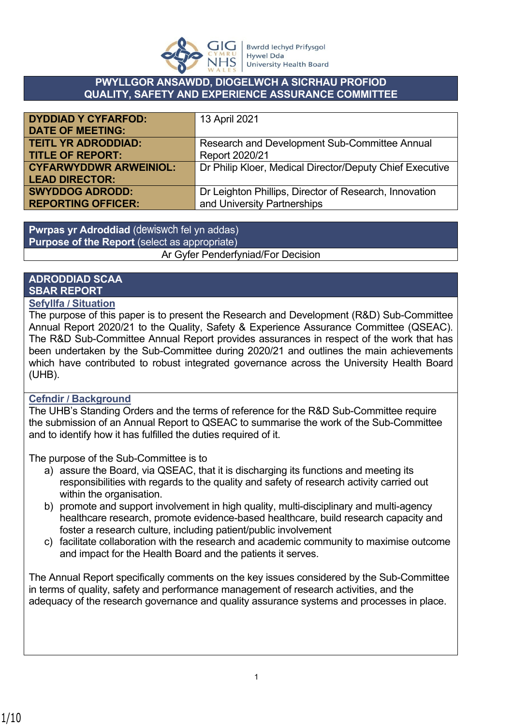

#### **PWYLLGOR ANSAWDD, DIOGELWCH A SICRHAU PROFIOD QUALITY, SAFETY AND EXPERIENCE ASSURANCE COMMITTEE**

| <b>DYDDIAD Y CYFARFOD:</b>    | 13 April 2021                                            |
|-------------------------------|----------------------------------------------------------|
| <b>DATE OF MEETING:</b>       |                                                          |
| <b>TEITL YR ADRODDIAD:</b>    | Research and Development Sub-Committee Annual            |
| <b>TITLE OF REPORT:</b>       | Report 2020/21                                           |
| <b>CYFARWYDDWR ARWEINIOL:</b> | Dr Philip Kloer, Medical Director/Deputy Chief Executive |
| <b>LEAD DIRECTOR:</b>         |                                                          |
| <b>SWYDDOG ADRODD:</b>        | Dr Leighton Phillips, Director of Research, Innovation   |
| <b>REPORTING OFFICER:</b>     | and University Partnerships                              |

**Pwrpas yr Adroddiad** (dewiswch fel yn addas) **Purpose of the Report** (select as appropriate) Ar Gyfer Penderfyniad/For Decision

## **ADRODDIAD SCAA SBAR REPORT**

### **Sefyllfa / Situation**

The purpose of this paper is to present the Research and Development (R&D) Sub-Committee Annual Report 2020/21 to the Quality, Safety & Experience Assurance Committee (QSEAC). The R&D Sub-Committee Annual Report provides assurances in respect of the work that has been undertaken by the Sub-Committee during 2020/21 and outlines the main achievements which have contributed to robust integrated governance across the University Health Board (UHB).

## **Cefndir / Background**

The UHB's Standing Orders and the terms of reference for the R&D Sub-Committee require the submission of an Annual Report to QSEAC to summarise the work of the Sub-Committee and to identify how it has fulfilled the duties required of it.

The purpose of the Sub-Committee is to

- a) assure the Board, via QSEAC, that it is discharging its functions and meeting its responsibilities with regards to the quality and safety of research activity carried out within the organisation.
- b) promote and support involvement in high quality, multi-disciplinary and multi-agency healthcare research, promote evidence-based healthcare, build research capacity and foster a research culture, including patient/public involvement
- c) facilitate collaboration with the research and academic community to maximise outcome and impact for the Health Board and the patients it serves.

The Annual Report specifically comments on the key issues considered by the Sub-Committee in terms of quality, safety and performance management of research activities, and the adequacy of the research governance and quality assurance systems and processes in place.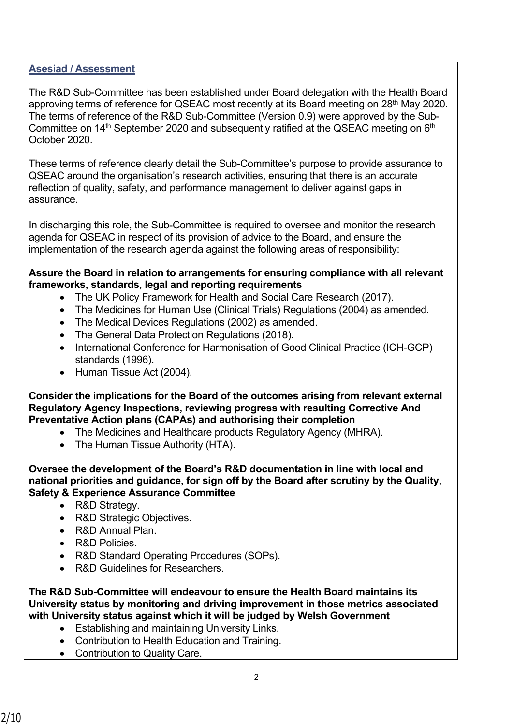### **Asesiad / Assessment**

The R&D Sub-Committee has been established under Board delegation with the Health Board approving terms of reference for QSEAC most recently at its Board meeting on 28<sup>th</sup> May 2020. The terms of reference of the R&D Sub-Committee (Version 0.9) were approved by the Sub-Committee on 14<sup>th</sup> September 2020 and subsequently ratified at the QSEAC meeting on  $6<sup>th</sup>$ October 2020.

These terms of reference clearly detail the Sub-Committee's purpose to provide assurance to QSEAC around the organisation's research activities, ensuring that there is an accurate reflection of quality, safety, and performance management to deliver against gaps in assurance.

In discharging this role, the Sub-Committee is required to oversee and monitor the research agenda for QSEAC in respect of its provision of advice to the Board, and ensure the implementation of the research agenda against the following areas of responsibility:

### **Assure the Board in relation to arrangements for ensuring compliance with all relevant frameworks, standards, legal and reporting requirements**

- The UK Policy Framework for Health and Social Care Research (2017).
- The Medicines for Human Use (Clinical Trials) Regulations (2004) as amended.
- The Medical Devices Regulations (2002) as amended.
- The General Data Protection Regulations (2018).
- International Conference for Harmonisation of Good Clinical Practice (ICH-GCP) standards (1996).
- Human Tissue Act (2004).

**Consider the implications for the Board of the outcomes arising from relevant external Regulatory Agency Inspections, reviewing progress with resulting Corrective And Preventative Action plans (CAPAs) and authorising their completion**

- The Medicines and Healthcare products Regulatory Agency (MHRA).
- The Human Tissue Authority (HTA).

**Oversee the development of the Board's R&D documentation in line with local and national priorities and guidance, for sign off by the Board after scrutiny by the Quality, Safety & Experience Assurance Committee**

- R&D Strategy.
- R&D Strategic Objectives.
- R&D Annual Plan.
- R&D Policies.
- R&D Standard Operating Procedures (SOPs).
- R&D Guidelines for Researchers.

**The R&D Sub-Committee will endeavour to ensure the Health Board maintains its University status by monitoring and driving improvement in those metrics associated with University status against which it will be judged by Welsh Government**

- Establishing and maintaining University Links.
- Contribution to Health Education and Training.
- Contribution to Quality Care.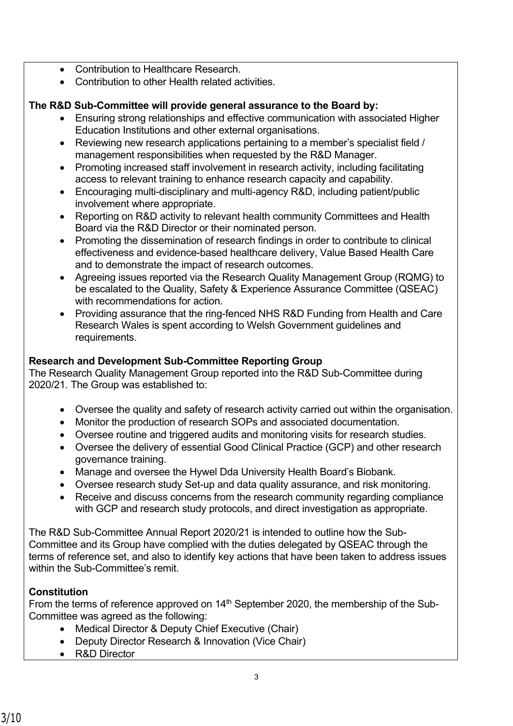- Contribution to Healthcare Research.
- Contribution to other Health related activities

# **The R&D Sub-Committee will provide general assurance to the Board by:**

- Ensuring strong relationships and effective communication with associated Higher Education Institutions and other external organisations.
- Reviewing new research applications pertaining to a member's specialist field / management responsibilities when requested by the R&D Manager.
- Promoting increased staff involvement in research activity, including facilitating access to relevant training to enhance research capacity and capability.
- Encouraging multi-disciplinary and multi-agency R&D, including patient/public involvement where appropriate.
- Reporting on R&D activity to relevant health community Committees and Health Board via the R&D Director or their nominated person.
- Promoting the dissemination of research findings in order to contribute to clinical effectiveness and evidence-based healthcare delivery, Value Based Health Care and to demonstrate the impact of research outcomes.
- Agreeing issues reported via the Research Quality Management Group (RQMG) to be escalated to the Quality, Safety & Experience Assurance Committee (QSEAC) with recommendations for action.
- Providing assurance that the ring-fenced NHS R&D Funding from Health and Care Research Wales is spent according to Welsh Government guidelines and requirements.

# **Research and Development Sub-Committee Reporting Group**

The Research Quality Management Group reported into the R&D Sub-Committee during 2020/21. The Group was established to:

- Oversee the quality and safety of research activity carried out within the organisation.
- Monitor the production of research SOPs and associated documentation.
- Oversee routine and triggered audits and monitoring visits for research studies.
- Oversee the delivery of essential Good Clinical Practice (GCP) and other research governance training.
- Manage and oversee the Hywel Dda University Health Board's Biobank.
- Oversee research study Set-up and data quality assurance, and risk monitoring.
- Receive and discuss concerns from the research community regarding compliance with GCP and research study protocols, and direct investigation as appropriate.

The R&D Sub-Committee Annual Report 2020/21 is intended to outline how the Sub-Committee and its Group have complied with the duties delegated by QSEAC through the terms of reference set, and also to identify key actions that have been taken to address issues within the Sub-Committee's remit.

# **Constitution**

From the terms of reference approved on  $14<sup>th</sup>$  September 2020, the membership of the Sub-Committee was agreed as the following:

- Medical Director & Deputy Chief Executive (Chair)
- Deputy Director Research & Innovation (Vice Chair)
- R&D Director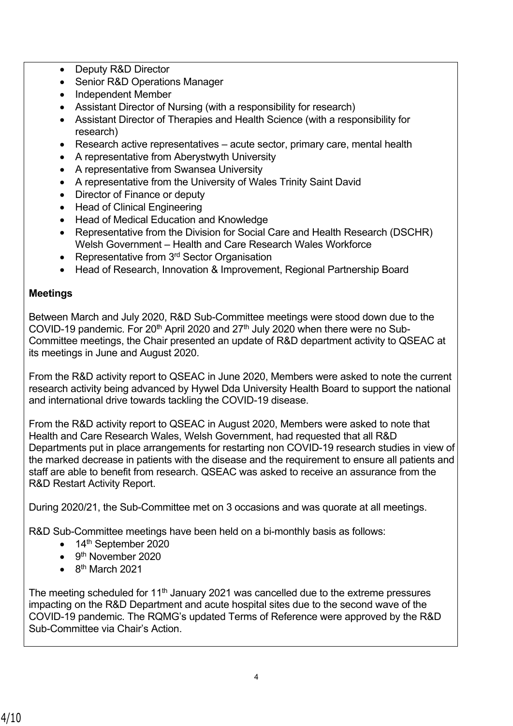- Deputy R&D Director
- Senior R&D Operations Manager
- Independent Member
- Assistant Director of Nursing (with a responsibility for research)
- Assistant Director of Therapies and Health Science (with a responsibility for research)
- Research active representatives acute sector, primary care, mental health
- A representative from Aberystwyth University
- A representative from Swansea University
- A representative from the University of Wales Trinity Saint David
- Director of Finance or deputy
- Head of Clinical Engineering
- Head of Medical Education and Knowledge
- Representative from the Division for Social Care and Health Research (DSCHR) Welsh Government – Health and Care Research Wales Workforce
- Representative from 3<sup>rd</sup> Sector Organisation
- Head of Research, Innovation & Improvement, Regional Partnership Board

## **Meetings**

Between March and July 2020, R&D Sub-Committee meetings were stood down due to the COVID-19 pandemic. For  $20<sup>th</sup>$  April 2020 and  $27<sup>th</sup>$  July 2020 when there were no Sub-Committee meetings, the Chair presented an update of R&D department activity to QSEAC at its meetings in June and August 2020.

From the R&D activity report to QSEAC in June 2020, Members were asked to note the current research activity being advanced by Hywel Dda University Health Board to support the national and international drive towards tackling the COVID-19 disease.

From the R&D activity report to QSEAC in August 2020, Members were asked to note that Health and Care Research Wales, Welsh Government, had requested that all R&D Departments put in place arrangements for restarting non COVID-19 research studies in view of the marked decrease in patients with the disease and the requirement to ensure all patients and staff are able to benefit from research. QSEAC was asked to receive an assurance from the R&D Restart Activity Report.

During 2020/21, the Sub-Committee met on 3 occasions and was quorate at all meetings.

R&D Sub-Committee meetings have been held on a bi-monthly basis as follows:

- $\bullet$  14<sup>th</sup> September 2020
- 9<sup>th</sup> November 2020
- $\bullet$  8<sup>th</sup> March 2021

The meeting scheduled for 11<sup>th</sup> January 2021 was cancelled due to the extreme pressures impacting on the R&D Department and acute hospital sites due to the second wave of the COVID-19 pandemic. The RQMG's updated Terms of Reference were approved by the R&D Sub-Committee via Chair's Action.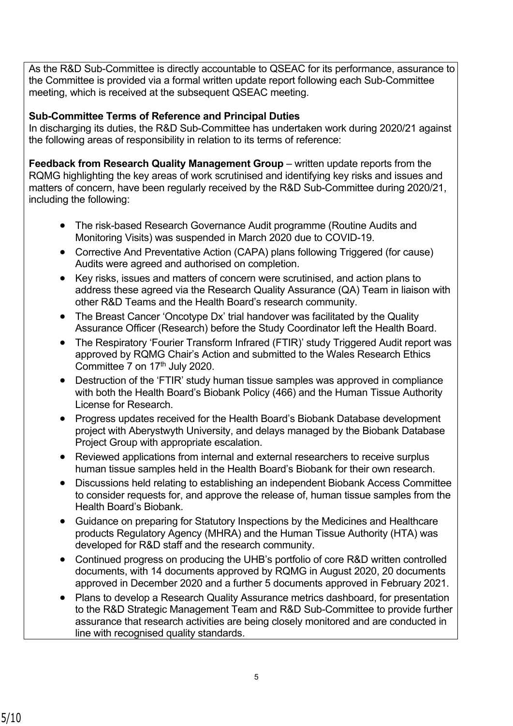As the R&D Sub-Committee is directly accountable to QSEAC for its performance, assurance to the Committee is provided via a formal written update report following each Sub-Committee meeting, which is received at the subsequent QSEAC meeting.

## **Sub-Committee Terms of Reference and Principal Duties**

In discharging its duties, the R&D Sub-Committee has undertaken work during 2020/21 against the following areas of responsibility in relation to its terms of reference:

**Feedback from Research Quality Management Group – written update reports from the** RQMG highlighting the key areas of work scrutinised and identifying key risks and issues and matters of concern, have been regularly received by the R&D Sub-Committee during 2020/21, including the following:

- The risk-based Research Governance Audit programme (Routine Audits and Monitoring Visits) was suspended in March 2020 due to COVID-19.
- Corrective And Preventative Action (CAPA) plans following Triggered (for cause) Audits were agreed and authorised on completion.
- Key risks, issues and matters of concern were scrutinised, and action plans to address these agreed via the Research Quality Assurance (QA) Team in liaison with other R&D Teams and the Health Board's research community.
- The Breast Cancer 'Oncotype Dx' trial handover was facilitated by the Quality Assurance Officer (Research) before the Study Coordinator left the Health Board.
- The Respiratory 'Fourier Transform Infrared (FTIR)' study Triggered Audit report was approved by RQMG Chair's Action and submitted to the Wales Research Ethics Committee 7 on 17<sup>th</sup> July 2020.
- Destruction of the 'FTIR' study human tissue samples was approved in compliance with both the Health Board's Biobank Policy (466) and the Human Tissue Authority License for Research.
- Progress updates received for the Health Board's Biobank Database development project with Aberystwyth University, and delays managed by the Biobank Database Project Group with appropriate escalation.
- Reviewed applications from internal and external researchers to receive surplus human tissue samples held in the Health Board's Biobank for their own research.
- Discussions held relating to establishing an independent Biobank Access Committee to consider requests for, and approve the release of, human tissue samples from the Health Board's Biobank.
- Guidance on preparing for Statutory Inspections by the Medicines and Healthcare products Regulatory Agency (MHRA) and the Human Tissue Authority (HTA) was developed for R&D staff and the research community.
- Continued progress on producing the UHB's portfolio of core R&D written controlled documents, with 14 documents approved by RQMG in August 2020, 20 documents approved in December 2020 and a further 5 documents approved in February 2021.
- Plans to develop a Research Quality Assurance metrics dashboard, for presentation to the R&D Strategic Management Team and R&D Sub-Committee to provide further assurance that research activities are being closely monitored and are conducted in line with recognised quality standards.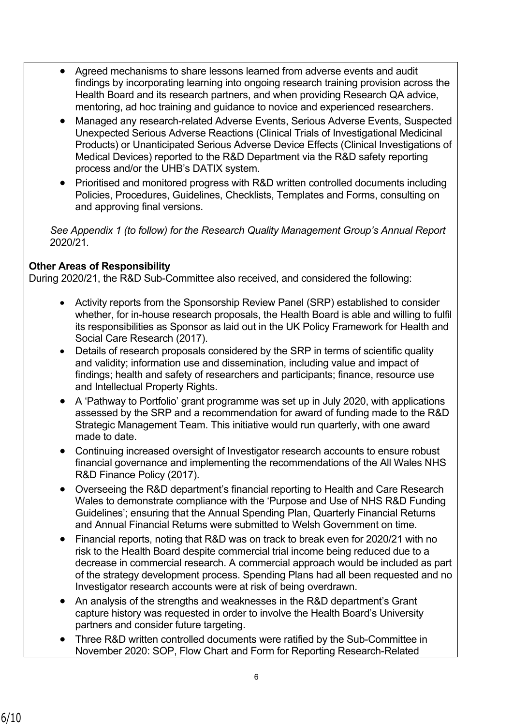- Agreed mechanisms to share lessons learned from adverse events and audit findings by incorporating learning into ongoing research training provision across the Health Board and its research partners, and when providing Research QA advice, mentoring, ad hoc training and guidance to novice and experienced researchers.
- Managed any research-related Adverse Events, Serious Adverse Events, Suspected Unexpected Serious Adverse Reactions (Clinical Trials of Investigational Medicinal Products) or Unanticipated Serious Adverse Device Effects (Clinical Investigations of Medical Devices) reported to the R&D Department via the R&D safety reporting process and/or the UHB's DATIX system.
- Prioritised and monitored progress with R&D written controlled documents including Policies, Procedures, Guidelines, Checklists, Templates and Forms, consulting on and approving final versions.

*See Appendix 1 (to follow) for the Research Quality Management Group's Annual Report*  2020/21*.* 

## **Other Areas of Responsibility**

During 2020/21, the R&D Sub-Committee also received, and considered the following:

- Activity reports from the Sponsorship Review Panel (SRP) established to consider whether, for in-house research proposals, the Health Board is able and willing to fulfil its responsibilities as Sponsor as laid out in the UK Policy Framework for Health and Social Care Research (2017).
- Details of research proposals considered by the SRP in terms of scientific quality and validity; information use and dissemination, including value and impact of findings; health and safety of researchers and participants; finance, resource use and Intellectual Property Rights.
- A 'Pathway to Portfolio' grant programme was set up in July 2020, with applications assessed by the SRP and a recommendation for award of funding made to the R&D Strategic Management Team. This initiative would run quarterly, with one award made to date.
- Continuing increased oversight of Investigator research accounts to ensure robust financial governance and implementing the recommendations of the All Wales NHS R&D Finance Policy (2017).
- Overseeing the R&D department's financial reporting to Health and Care Research Wales to demonstrate compliance with the 'Purpose and Use of NHS R&D Funding Guidelines'; ensuring that the Annual Spending Plan, Quarterly Financial Returns and Annual Financial Returns were submitted to Welsh Government on time.
- Financial reports, noting that R&D was on track to break even for 2020/21 with no risk to the Health Board despite commercial trial income being reduced due to a decrease in commercial research. A commercial approach would be included as part of the strategy development process. Spending Plans had all been requested and no Investigator research accounts were at risk of being overdrawn.
- An analysis of the strengths and weaknesses in the R&D department's Grant capture history was requested in order to involve the Health Board's University partners and consider future targeting.
- Three R&D written controlled documents were ratified by the Sub-Committee in November 2020: SOP, Flow Chart and Form for Reporting Research-Related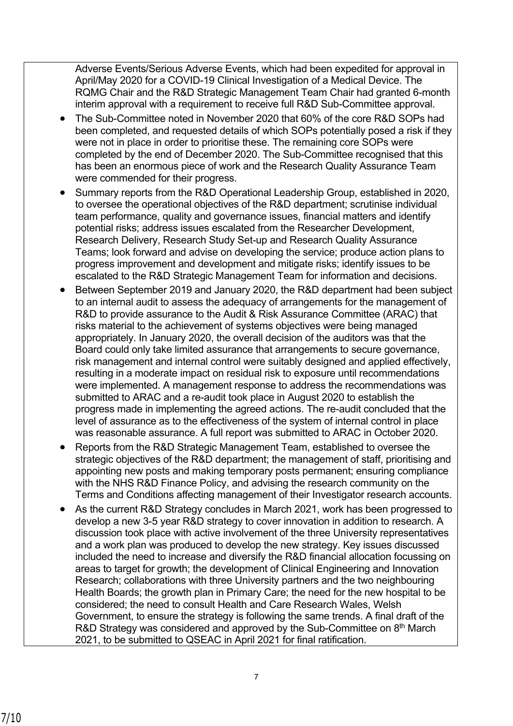Adverse Events/Serious Adverse Events, which had been expedited for approval in April/May 2020 for a COVID-19 Clinical Investigation of a Medical Device. The RQMG Chair and the R&D Strategic Management Team Chair had granted 6-month interim approval with a requirement to receive full R&D Sub-Committee approval.

- The Sub-Committee noted in November 2020 that 60% of the core R&D SOPs had been completed, and requested details of which SOPs potentially posed a risk if they were not in place in order to prioritise these. The remaining core SOPs were completed by the end of December 2020. The Sub-Committee recognised that this has been an enormous piece of work and the Research Quality Assurance Team were commended for their progress.
- Summary reports from the R&D Operational Leadership Group, established in 2020, to oversee the operational objectives of the R&D department; scrutinise individual team performance, quality and governance issues, financial matters and identify potential risks; address issues escalated from the Researcher Development, Research Delivery, Research Study Set-up and Research Quality Assurance Teams; look forward and advise on developing the service; produce action plans to progress improvement and development and mitigate risks; identify issues to be escalated to the R&D Strategic Management Team for information and decisions.
- Between September 2019 and January 2020, the R&D department had been subject to an internal audit to assess the adequacy of arrangements for the management of R&D to provide assurance to the Audit & Risk Assurance Committee (ARAC) that risks material to the achievement of systems objectives were being managed appropriately. In January 2020, the overall decision of the auditors was that the Board could only take limited assurance that arrangements to secure governance, risk management and internal control were suitably designed and applied effectively, resulting in a moderate impact on residual risk to exposure until recommendations were implemented. A management response to address the recommendations was submitted to ARAC and a re-audit took place in August 2020 to establish the progress made in implementing the agreed actions. The re-audit concluded that the level of assurance as to the effectiveness of the system of internal control in place was reasonable assurance. A full report was submitted to ARAC in October 2020.
- Reports from the R&D Strategic Management Team, established to oversee the strategic objectives of the R&D department; the management of staff, prioritising and appointing new posts and making temporary posts permanent; ensuring compliance with the NHS R&D Finance Policy, and advising the research community on the Terms and Conditions affecting management of their Investigator research accounts.
- As the current R&D Strategy concludes in March 2021, work has been progressed to develop a new 3-5 year R&D strategy to cover innovation in addition to research. A discussion took place with active involvement of the three University representatives and a work plan was produced to develop the new strategy. Key issues discussed included the need to increase and diversify the R&D financial allocation focussing on areas to target for growth; the development of Clinical Engineering and Innovation Research; collaborations with three University partners and the two neighbouring Health Boards; the growth plan in Primary Care; the need for the new hospital to be considered; the need to consult Health and Care Research Wales, Welsh Government, to ensure the strategy is following the same trends. A final draft of the R&D Strategy was considered and approved by the Sub-Committee on 8<sup>th</sup> March 2021, to be submitted to QSEAC in April 2021 for final ratification.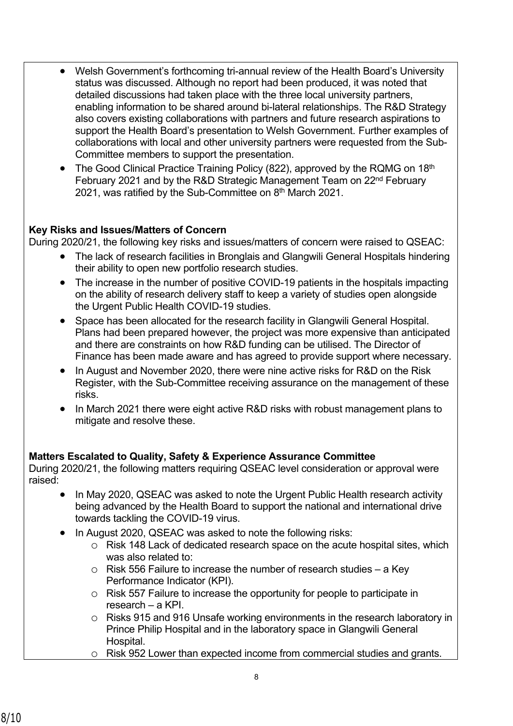- Welsh Government's forthcoming tri-annual review of the Health Board's University status was discussed. Although no report had been produced, it was noted that detailed discussions had taken place with the three local university partners, enabling information to be shared around bi-lateral relationships. The R&D Strategy also covers existing collaborations with partners and future research aspirations to support the Health Board's presentation to Welsh Government. Further examples of collaborations with local and other university partners were requested from the Sub-Committee members to support the presentation.
- The Good Clinical Practice Training Policy (822), approved by the RQMG on 18<sup>th</sup> February 2021 and by the R&D Strategic Management Team on 22<sup>nd</sup> February 2021, was ratified by the Sub-Committee on  $8<sup>th</sup>$  March 2021.

## **Key Risks and Issues/Matters of Concern**

During 2020/21, the following key risks and issues/matters of concern were raised to QSEAC:

- The lack of research facilities in Bronglais and Glangwili General Hospitals hindering their ability to open new portfolio research studies.
- The increase in the number of positive COVID-19 patients in the hospitals impacting on the ability of research delivery staff to keep a variety of studies open alongside the Urgent Public Health COVID-19 studies.
- Space has been allocated for the research facility in Glangwili General Hospital. Plans had been prepared however, the project was more expensive than anticipated and there are constraints on how R&D funding can be utilised. The Director of Finance has been made aware and has agreed to provide support where necessary.
- In August and November 2020, there were nine active risks for R&D on the Risk Register, with the Sub-Committee receiving assurance on the management of these risks.
- In March 2021 there were eight active R&D risks with robust management plans to mitigate and resolve these.

## **Matters Escalated to Quality, Safety & Experience Assurance Committee**

During 2020/21, the following matters requiring QSEAC level consideration or approval were raised:

- In May 2020, QSEAC was asked to note the Urgent Public Health research activity being advanced by the Health Board to support the national and international drive towards tackling the COVID-19 virus.
- In August 2020, QSEAC was asked to note the following risks:
	- o Risk 148 Lack of dedicated research space on the acute hospital sites, which was also related to:
	- o Risk 556 Failure to increase the number of research studies a Key Performance Indicator (KPI).
	- o Risk 557 Failure to increase the opportunity for people to participate in research – a KPI.
	- o Risks 915 and 916 Unsafe working environments in the research laboratory in Prince Philip Hospital and in the laboratory space in Glangwili General Hospital.
	- o Risk 952 Lower than expected income from commercial studies and grants.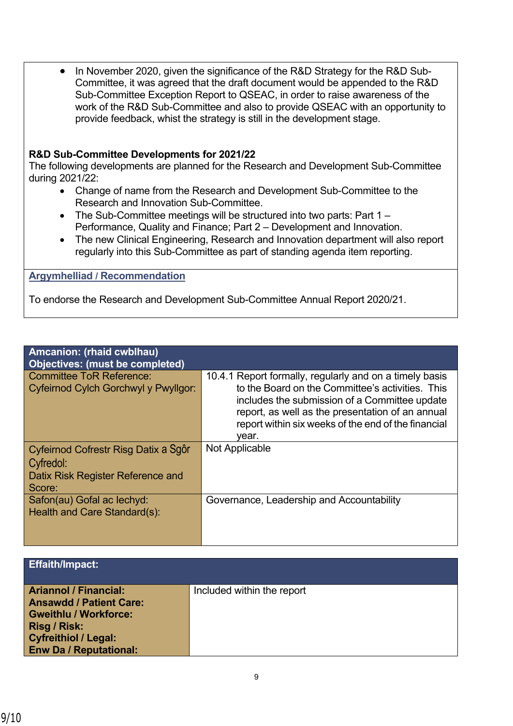• In November 2020, given the significance of the R&D Strategy for the R&D Sub-Committee, it was agreed that the draft document would be appended to the R&D Sub-Committee Exception Report to QSEAC, in order to raise awareness of the work of the R&D Sub-Committee and also to provide QSEAC with an opportunity to provide feedback, whist the strategy is still in the development stage.

### **R&D Sub-Committee Developments for 2021/22**

The following developments are planned for the Research and Development Sub-Committee during 2021/22:

- Change of name from the Research and Development Sub-Committee to the Research and Innovation Sub-Committee.
- The Sub-Committee meetings will be structured into two parts: Part 1 Performance, Quality and Finance; Part 2 – Development and Innovation.
- The new Clinical Engineering, Research and Innovation department will also report regularly into this Sub-Committee as part of standing agenda item reporting.

**Argymhelliad / Recommendation**

To endorse the Research and Development Sub-Committee Annual Report 2020/21.

| Amcanion: (rhaid cwblhau)                                                                        |                                                                                                                                                                                                                                                                                  |
|--------------------------------------------------------------------------------------------------|----------------------------------------------------------------------------------------------------------------------------------------------------------------------------------------------------------------------------------------------------------------------------------|
| <b>Objectives: (must be completed)</b>                                                           |                                                                                                                                                                                                                                                                                  |
| <b>Committee ToR Reference:</b><br>Cyfeirnod Cylch Gorchwyl y Pwyllgor:                          | 10.4.1 Report formally, regularly and on a timely basis<br>to the Board on the Committee's activities. This<br>includes the submission of a Committee update<br>report, as well as the presentation of an annual<br>report within six weeks of the end of the financial<br>vear. |
| Cyfeirnod Cofrestr Risg Datix a Sgôr<br>Cyfredol:<br>Datix Risk Register Reference and<br>Score: | Not Applicable                                                                                                                                                                                                                                                                   |
| Safon(au) Gofal ac lechyd:<br>Health and Care Standard(s):                                       | Governance, Leadership and Accountability                                                                                                                                                                                                                                        |

| Effaith/Impact:                                                                                                                                                                       |                            |
|---------------------------------------------------------------------------------------------------------------------------------------------------------------------------------------|----------------------------|
| <b>Ariannol / Financial:</b><br><b>Ansawdd / Patient Care:</b><br><b>Gweithlu / Workforce:</b><br><b>Risg / Risk:</b><br><b>Cyfreithiol / Legal:</b><br><b>Enw Da / Reputational:</b> | Included within the report |